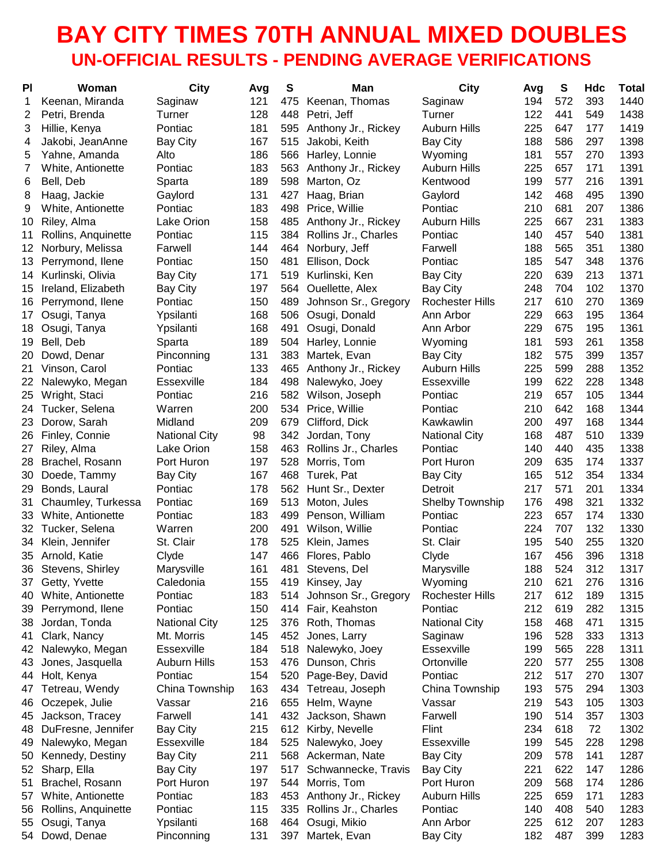## **BAY CITY TIMES 70TH ANNUAL MIXED DOUBLES UN-OFFICIAL RESULTS - PENDING AVERAGE VERIFICATIONS**

| PI | Woman               | <b>City</b>          | Avg | S   | Man                  | <b>City</b>            | Avg | S   | Hdc | <b>Total</b> |
|----|---------------------|----------------------|-----|-----|----------------------|------------------------|-----|-----|-----|--------------|
| 1  | Keenan, Miranda     | Saginaw              | 121 | 475 | Keenan, Thomas       | Saginaw                | 194 | 572 | 393 | 1440         |
| 2  | Petri, Brenda       | Turner               | 128 | 448 | Petri, Jeff          | Turner                 | 122 | 441 | 549 | 1438         |
| 3  | Hillie, Kenya       | Pontiac              | 181 | 595 | Anthony Jr., Rickey  | <b>Auburn Hills</b>    | 225 | 647 | 177 | 1419         |
| 4  | Jakobi, JeanAnne    | <b>Bay City</b>      | 167 | 515 | Jakobi, Keith        | Bay City               | 188 | 586 | 297 | 1398         |
| 5  | Yahne, Amanda       | Alto                 | 186 | 566 | Harley, Lonnie       | Wyoming                | 181 | 557 | 270 | 1393         |
| 7  | White, Antionette   | Pontiac              | 183 | 563 | Anthony Jr., Rickey  | Auburn Hills           | 225 | 657 | 171 | 1391         |
| 6  | Bell, Deb           | Sparta               | 189 | 598 | Marton, Oz           | Kentwood               | 199 | 577 | 216 | 1391         |
| 8  | Haag, Jackie        | Gaylord              | 131 | 427 | Haag, Brian          | Gaylord                | 142 | 468 | 495 | 1390         |
| 9  | White, Antionette   | Pontiac              | 183 | 498 | Price, Willie        | Pontiac                | 210 | 681 | 207 | 1386         |
| 10 | Riley, Alma         | Lake Orion           | 158 | 485 | Anthony Jr., Rickey  | <b>Auburn Hills</b>    | 225 | 667 | 231 | 1383         |
| 11 | Rollins, Anquinette | Pontiac              | 115 | 384 | Rollins Jr., Charles | Pontiac                | 140 | 457 | 540 | 1381         |
| 12 | Norbury, Melissa    | Farwell              | 144 | 464 | Norbury, Jeff        | Farwell                | 188 | 565 | 351 | 1380         |
| 13 | Perrymond, Ilene    | Pontiac              | 150 | 481 | Ellison, Dock        | Pontiac                | 185 | 547 | 348 | 1376         |
| 14 | Kurlinski, Olivia   | <b>Bay City</b>      | 171 | 519 | Kurlinski, Ken       | <b>Bay City</b>        | 220 | 639 | 213 | 1371         |
| 15 | Ireland, Elizabeth  | <b>Bay City</b>      | 197 | 564 | Ouellette, Alex      | <b>Bay City</b>        | 248 | 704 | 102 | 1370         |
| 16 | Perrymond, Ilene    | Pontiac              | 150 | 489 | Johnson Sr., Gregory | <b>Rochester Hills</b> | 217 | 610 | 270 | 1369         |
| 17 | Osugi, Tanya        | Ypsilanti            | 168 | 506 | Osugi, Donald        | Ann Arbor              | 229 | 663 | 195 | 1364         |
| 18 | Osugi, Tanya        | Ypsilanti            | 168 | 491 | Osugi, Donald        | Ann Arbor              | 229 | 675 | 195 | 1361         |
| 19 | Bell, Deb           | Sparta               | 189 | 504 | Harley, Lonnie       | Wyoming                | 181 | 593 | 261 | 1358         |
| 20 | Dowd, Denar         | Pinconning           | 131 | 383 | Martek, Evan         | <b>Bay City</b>        | 182 | 575 | 399 | 1357         |
| 21 | Vinson, Carol       | Pontiac              | 133 | 465 | Anthony Jr., Rickey  | Auburn Hills           | 225 | 599 | 288 | 1352         |
| 22 | Nalewyko, Megan     | Essexville           | 184 | 498 | Nalewyko, Joey       | Essexville             | 199 | 622 | 228 | 1348         |
| 25 | Wright, Staci       | Pontiac              | 216 | 582 | Wilson, Joseph       | Pontiac                | 219 | 657 | 105 | 1344         |
| 24 | Tucker, Selena      | Warren               | 200 | 534 | Price, Willie        | Pontiac                | 210 | 642 | 168 | 1344         |
| 23 | Dorow, Sarah        | Midland              | 209 | 679 | Clifford, Dick       | Kawkawlin              | 200 | 497 | 168 | 1344         |
| 26 | Finley, Connie      | <b>National City</b> | 98  | 342 | Jordan, Tony         | <b>National City</b>   | 168 | 487 | 510 | 1339         |
| 27 | Riley, Alma         | Lake Orion           | 158 | 463 | Rollins Jr., Charles | Pontiac                | 140 | 440 | 435 | 1338         |
| 28 | Brachel, Rosann     | Port Huron           | 197 | 528 | Morris, Tom          | Port Huron             | 209 | 635 | 174 | 1337         |
| 30 | Doede, Tammy        | <b>Bay City</b>      | 167 | 468 | Turek, Pat           | <b>Bay City</b>        | 165 | 512 | 354 | 1334         |
| 29 | Bonds, Laural       | Pontiac              | 178 | 562 | Hunt Sr., Dexter     | Detroit                | 217 | 571 | 201 | 1334         |
| 31 | Chaumley, Turkessa  | Pontiac              | 169 | 513 | Moton, Jules         | <b>Shelby Township</b> | 176 | 498 | 321 | 1332         |
| 33 | White, Antionette   | Pontiac              | 183 | 499 | Penson, William      | Pontiac                | 223 | 657 | 174 | 1330         |
| 32 | Tucker, Selena      | Warren               | 200 | 491 | Wilson, Willie       | Pontiac                | 224 | 707 | 132 | 1330         |
| 34 | Klein, Jennifer     | St. Clair            | 178 | 525 | Klein, James         | St. Clair              | 195 | 540 | 255 | 1320         |
| 35 | Arnold, Katie       | Clyde                | 147 | 466 | Flores, Pablo        | Clyde                  | 167 | 456 | 396 | 1318         |
| 36 | Stevens, Shirley    | Marysville           | 161 | 481 | Stevens, Del         | Marysville             | 188 | 524 | 312 | 1317         |
| 37 | Getty, Yvette       | Caledonia            | 155 |     | 419 Kinsey, Jay      | Wyoming                | 210 | 621 | 276 | 1316         |
| 40 | White, Antionette   | Pontiac              | 183 | 514 | Johnson Sr., Gregory | <b>Rochester Hills</b> | 217 | 612 | 189 | 1315         |
| 39 | Perrymond, Ilene    | Pontiac              | 150 |     | 414 Fair, Keahston   | Pontiac                | 212 | 619 | 282 | 1315         |
| 38 | Jordan, Tonda       | <b>National City</b> | 125 | 376 | Roth, Thomas         | <b>National City</b>   | 158 | 468 | 471 | 1315         |
| 41 | Clark, Nancy        | Mt. Morris           | 145 |     | 452 Jones, Larry     | Saginaw                | 196 | 528 | 333 | 1313         |
| 42 | Nalewyko, Megan     | Essexville           | 184 | 518 | Nalewyko, Joey       | Essexville             | 199 | 565 | 228 | 1311         |
| 43 | Jones, Jasquella    | Auburn Hills         | 153 | 476 | Dunson, Chris        | Ortonville             | 220 | 577 | 255 | 1308         |
| 44 | Holt, Kenya         | Pontiac              | 154 | 520 | Page-Bey, David      | Pontiac                | 212 | 517 | 270 | 1307         |
| 47 | Tetreau, Wendy      | China Township       | 163 | 434 | Tetreau, Joseph      | China Township         | 193 | 575 | 294 | 1303         |
| 46 | Oczepek, Julie      | Vassar               | 216 | 655 | Helm, Wayne          | Vassar                 | 219 | 543 | 105 | 1303         |
| 45 | Jackson, Tracey     | Farwell              | 141 | 432 | Jackson, Shawn       | Farwell                | 190 | 514 | 357 | 1303         |
| 48 | DuFresne, Jennifer  | <b>Bay City</b>      | 215 | 612 | Kirby, Nevelle       | Flint                  | 234 | 618 | 72  | 1302         |
| 49 | Nalewyko, Megan     | Essexville           | 184 | 525 | Nalewyko, Joey       | Essexville             | 199 | 545 | 228 | 1298         |
| 50 | Kennedy, Destiny    | <b>Bay City</b>      | 211 | 568 | Ackerman, Nate       | <b>Bay City</b>        | 209 | 578 | 141 | 1287         |
| 52 | Sharp, Ella         | <b>Bay City</b>      | 197 | 517 | Schwannecke, Travis  | <b>Bay City</b>        | 221 | 622 | 147 | 1286         |
| 51 | Brachel, Rosann     | Port Huron           | 197 | 544 | Morris, Tom          | Port Huron             | 209 | 568 | 174 | 1286         |
| 57 | White, Antionette   | Pontiac              | 183 | 453 | Anthony Jr., Rickey  | <b>Auburn Hills</b>    | 225 | 659 | 171 | 1283         |
| 56 | Rollins, Anquinette | Pontiac              | 115 | 335 | Rollins Jr., Charles | Pontiac                | 140 | 408 | 540 | 1283         |
| 55 | Osugi, Tanya        | Ypsilanti            | 168 | 464 | Osugi, Mikio         | Ann Arbor              | 225 | 612 | 207 | 1283         |
| 54 | Dowd, Denae         | Pinconning           | 131 | 397 | Martek, Evan         | <b>Bay City</b>        | 182 | 487 | 399 | 1283         |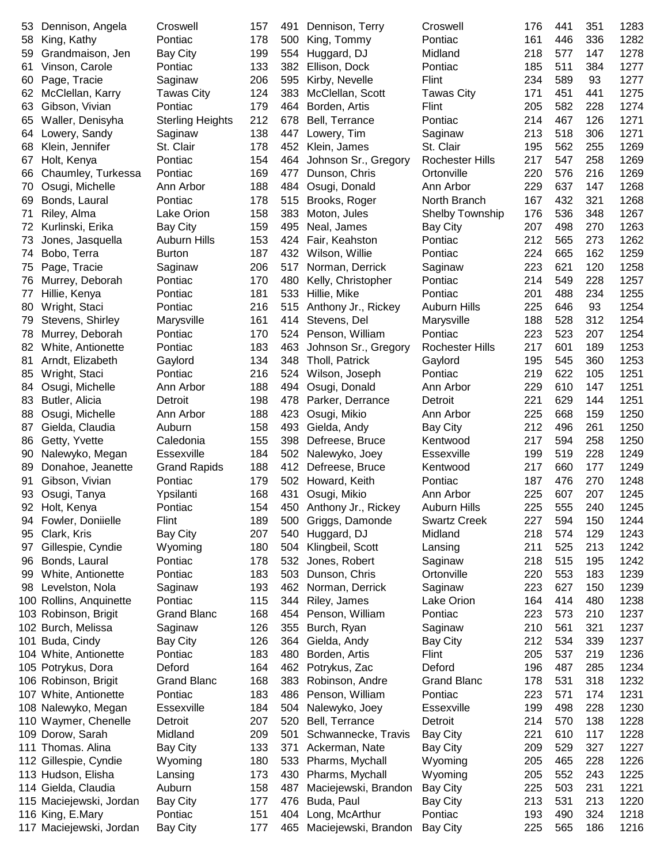| 53  | Dennison, Angela        | Croswell                | 157 | 491 | Dennison, Terry         | Croswell               | 176 | 441 | 351 | 1283 |
|-----|-------------------------|-------------------------|-----|-----|-------------------------|------------------------|-----|-----|-----|------|
| 58  | King, Kathy             | Pontiac                 | 178 | 500 | King, Tommy             | Pontiac                | 161 | 446 | 336 | 1282 |
| 59  | Grandmaison, Jen        | <b>Bay City</b>         | 199 | 554 | Huggard, DJ             | Midland                | 218 | 577 | 147 | 1278 |
| 61  | Vinson, Carole          | Pontiac                 | 133 | 382 | Ellison, Dock           | Pontiac                | 185 | 511 | 384 | 1277 |
| 60  | Page, Tracie            | Saginaw                 | 206 | 595 | Kirby, Nevelle          | Flint                  | 234 | 589 | 93  | 1277 |
| 62  | McClellan, Karry        | <b>Tawas City</b>       | 124 | 383 | McClellan, Scott        | <b>Tawas City</b>      | 171 | 451 | 441 | 1275 |
| 63  | Gibson, Vivian          | Pontiac                 | 179 | 464 | Borden, Artis           | Flint                  | 205 | 582 | 228 | 1274 |
| 65  | Waller, Denisyha        | <b>Sterling Heights</b> | 212 | 678 | Bell, Terrance          | Pontiac                | 214 | 467 | 126 | 1271 |
| 64  | Lowery, Sandy           | Saginaw                 | 138 | 447 | Lowery, Tim             | Saginaw                | 213 | 518 | 306 | 1271 |
| 68  | Klein, Jennifer         | St. Clair               | 178 | 452 | Klein, James            | St. Clair              | 195 | 562 | 255 | 1269 |
| 67  | Holt, Kenya             | Pontiac                 | 154 | 464 | Johnson Sr., Gregory    | <b>Rochester Hills</b> | 217 | 547 | 258 | 1269 |
| 66  | Chaumley, Turkessa      | Pontiac                 | 169 | 477 | Dunson, Chris           | Ortonville             | 220 | 576 | 216 | 1269 |
| 70  | Osugi, Michelle         | Ann Arbor               | 188 | 484 | Osugi, Donald           | Ann Arbor              | 229 | 637 | 147 | 1268 |
| 69  | Bonds, Laural           | Pontiac                 | 178 | 515 | Brooks, Roger           | North Branch           | 167 | 432 | 321 | 1268 |
| 71  | Riley, Alma             | Lake Orion              | 158 | 383 | Moton, Jules            | <b>Shelby Township</b> | 176 | 536 | 348 | 1267 |
| 72  | Kurlinski, Erika        | <b>Bay City</b>         | 159 | 495 | Neal, James             | <b>Bay City</b>        | 207 | 498 | 270 | 1263 |
|     |                         | Auburn Hills            | 153 | 424 |                         | Pontiac                | 212 | 565 | 273 | 1262 |
| 73  | Jones, Jasquella        |                         | 187 | 432 | Fair, Keahston          |                        | 224 | 665 | 162 | 1259 |
| 74  | Bobo, Terra             | <b>Burton</b>           |     |     | Wilson, Willie          | Pontiac                |     |     |     |      |
| 75  | Page, Tracie            | Saginaw                 | 206 | 517 | Norman, Derrick         | Saginaw                | 223 | 621 | 120 | 1258 |
| 76  | Murrey, Deborah         | Pontiac                 | 170 | 480 | Kelly, Christopher      | Pontiac                | 214 | 549 | 228 | 1257 |
| 77  | Hillie, Kenya           | Pontiac                 | 181 | 533 | Hillie, Mike            | Pontiac                | 201 | 488 | 234 | 1255 |
| 80  | Wright, Staci           | Pontiac                 | 216 | 515 | Anthony Jr., Rickey     | <b>Auburn Hills</b>    | 225 | 646 | 93  | 1254 |
| 79  | Stevens, Shirley        | Marysville              | 161 | 414 | Stevens, Del            | Marysville             | 188 | 528 | 312 | 1254 |
| 78  | Murrey, Deborah         | Pontiac                 | 170 | 524 | Penson, William         | Pontiac                | 223 | 523 | 207 | 1254 |
| 82  | White, Antionette       | Pontiac                 | 183 | 463 | Johnson Sr., Gregory    | <b>Rochester Hills</b> | 217 | 601 | 189 | 1253 |
| 81  | Arndt, Elizabeth        | Gaylord                 | 134 | 348 | Tholl, Patrick          | Gaylord                | 195 | 545 | 360 | 1253 |
| 85  | Wright, Staci           | Pontiac                 | 216 | 524 | Wilson, Joseph          | Pontiac                | 219 | 622 | 105 | 1251 |
| 84  | Osugi, Michelle         | Ann Arbor               | 188 | 494 | Osugi, Donald           | Ann Arbor              | 229 | 610 | 147 | 1251 |
| 83  | Butler, Alicia          | Detroit                 | 198 | 478 | Parker, Derrance        | Detroit                | 221 | 629 | 144 | 1251 |
| 88  | Osugi, Michelle         | Ann Arbor               | 188 | 423 | Osugi, Mikio            | Ann Arbor              | 225 | 668 | 159 | 1250 |
| 87  | Gielda, Claudia         | Auburn                  | 158 | 493 | Gielda, Andy            | <b>Bay City</b>        | 212 | 496 | 261 | 1250 |
| 86  | Getty, Yvette           | Caledonia               | 155 | 398 | Defreese, Bruce         | Kentwood               | 217 | 594 | 258 | 1250 |
| 90  | Nalewyko, Megan         | <b>Essexville</b>       | 184 | 502 | Nalewyko, Joey          | <b>Essexville</b>      | 199 | 519 | 228 | 1249 |
| 89  | Donahoe, Jeanette       | <b>Grand Rapids</b>     | 188 | 412 | Defreese, Bruce         | Kentwood               | 217 | 660 | 177 | 1249 |
| 91  | Gibson, Vivian          | Pontiac                 | 179 | 502 | Howard, Keith           | Pontiac                | 187 | 476 | 270 | 1248 |
| 93  | Osugi, Tanya            | Ypsilanti               | 168 | 431 | Osugi, Mikio            | Ann Arbor              | 225 | 607 | 207 | 1245 |
| 92. | Holt, Kenya             | Pontiac                 | 154 |     | 450 Anthony Jr., Rickey | Auburn Hills           | 225 | 555 | 240 | 1245 |
| 94  | Fowler, Doniielle       | Flint                   | 189 | 500 | Griggs, Damonde         | <b>Swartz Creek</b>    | 227 | 594 | 150 | 1244 |
| 95  | Clark, Kris             | <b>Bay City</b>         | 207 | 540 | Huggard, DJ             | Midland                | 218 | 574 | 129 | 1243 |
| 97  | Gillespie, Cyndie       | Wyoming                 | 180 | 504 | Klingbeil, Scott        | Lansing                | 211 | 525 | 213 | 1242 |
| 96  | Bonds, Laural           | Pontiac                 | 178 | 532 | Jones, Robert           | Saginaw                | 218 | 515 | 195 | 1242 |
| 99  | White, Antionette       | Pontiac                 | 183 | 503 | Dunson, Chris           | Ortonville             | 220 | 553 | 183 | 1239 |
| 98  | Levelston, Nola         | Saginaw                 | 193 | 462 | Norman, Derrick         | Saginaw                | 223 | 627 | 150 | 1239 |
|     | 100 Rollins, Anquinette | Pontiac                 | 115 | 344 | Riley, James            | Lake Orion             | 164 | 414 | 480 | 1238 |
|     | 103 Robinson, Brigit    | <b>Grand Blanc</b>      | 168 | 454 | Penson, William         | Pontiac                | 223 | 573 | 210 | 1237 |
|     | 102 Burch, Melissa      | Saginaw                 | 126 | 355 | Burch, Ryan             | Saginaw                | 210 | 561 | 321 | 1237 |
| 101 | Buda, Cindy             | <b>Bay City</b>         | 126 | 364 | Gielda, Andy            | <b>Bay City</b>        | 212 | 534 | 339 | 1237 |
|     |                         |                         | 183 | 480 |                         | Flint                  | 205 | 537 | 219 | 1236 |
|     | 104 White, Antionette   | Pontiac<br>Deford       | 164 | 462 | Borden, Artis           | Deford                 | 196 | 487 | 285 |      |
|     | 105 Potrykus, Dora      |                         |     |     | Potrykus, Zac           |                        |     |     |     | 1234 |
|     | 106 Robinson, Brigit    | <b>Grand Blanc</b>      | 168 | 383 | Robinson, Andre         | <b>Grand Blanc</b>     | 178 | 531 | 318 | 1232 |
|     | 107 White, Antionette   | Pontiac                 | 183 | 486 | Penson, William         | Pontiac                | 223 | 571 | 174 | 1231 |
|     | 108 Nalewyko, Megan     | Essexville              | 184 | 504 | Nalewyko, Joey          | Essexville             | 199 | 498 | 228 | 1230 |
|     | 110 Waymer, Chenelle    | Detroit                 | 207 | 520 | Bell, Terrance          | Detroit                | 214 | 570 | 138 | 1228 |
|     | 109 Dorow, Sarah        | Midland                 | 209 | 501 | Schwannecke, Travis     | <b>Bay City</b>        | 221 | 610 | 117 | 1228 |
|     | 111 Thomas. Alina       | <b>Bay City</b>         | 133 | 371 | Ackerman, Nate          | <b>Bay City</b>        | 209 | 529 | 327 | 1227 |
|     | 112 Gillespie, Cyndie   | Wyoming                 | 180 | 533 | Pharms, Mychall         | Wyoming                | 205 | 465 | 228 | 1226 |
|     | 113 Hudson, Elisha      | Lansing                 | 173 | 430 | Pharms, Mychall         | Wyoming                | 205 | 552 | 243 | 1225 |
|     | 114 Gielda, Claudia     | Auburn                  | 158 | 487 | Maciejewski, Brandon    | <b>Bay City</b>        | 225 | 503 | 231 | 1221 |
|     | 115 Maciejewski, Jordan | <b>Bay City</b>         | 177 | 476 | Buda, Paul              | <b>Bay City</b>        | 213 | 531 | 213 | 1220 |
|     | 116 King, E.Mary        | Pontiac                 | 151 | 404 | Long, McArthur          | Pontiac                | 193 | 490 | 324 | 1218 |
|     | 117 Maciejewski, Jordan | <b>Bay City</b>         | 177 | 465 | Maciejewski, Brandon    | <b>Bay City</b>        | 225 | 565 | 186 | 1216 |